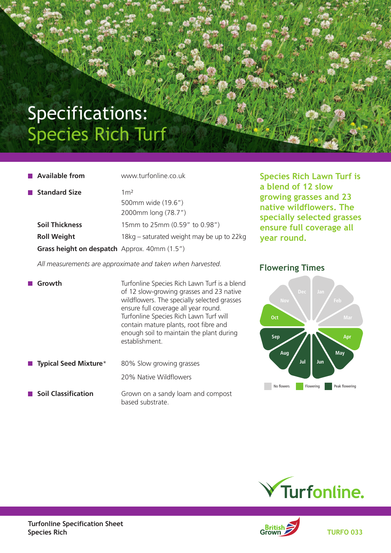## Specifications: Species Rich Turf

| $\blacksquare$ Available from                | www.turfonline.co.uk                      |
|----------------------------------------------|-------------------------------------------|
| <b>■ Standard Size</b>                       | 1 <sup>m2</sup>                           |
|                                              | 500mm wide (19.6")                        |
|                                              | 2000mm long (78.7")                       |
| <b>Soil Thickness</b>                        | 15mm to 25mm (0.59" to 0.98")             |
| <b>Roll Weight</b>                           | 18kg – saturated weight may be up to 22kg |
| Grass height on despatch Approx. 40mm (1.5") |                                           |

**Species Rich Lawn Turf is a blend of 12 slow growing grasses and 23 native wildflowers. The specially selected grasses ensure full coverage all year round.**

 *All measurements are approximate and taken when harvested.*

**Growth** Turfonline Species Rich Lawn Turf is a blend of 12 slow-growing grasses and 23 native wildflowers. The specially selected grasses ensure full coverage all year round. Turfonline Species Rich Lawn Turf will contain mature plants, root fibre and enough soil to maintain the plant during establishment.

- **Typical Seed Mixture**<sup>\*</sup> 80% Slow growing grasses 20% Native Wildflowers
- **Soil Classification** Grown on a sandy loam and compost based substrate.